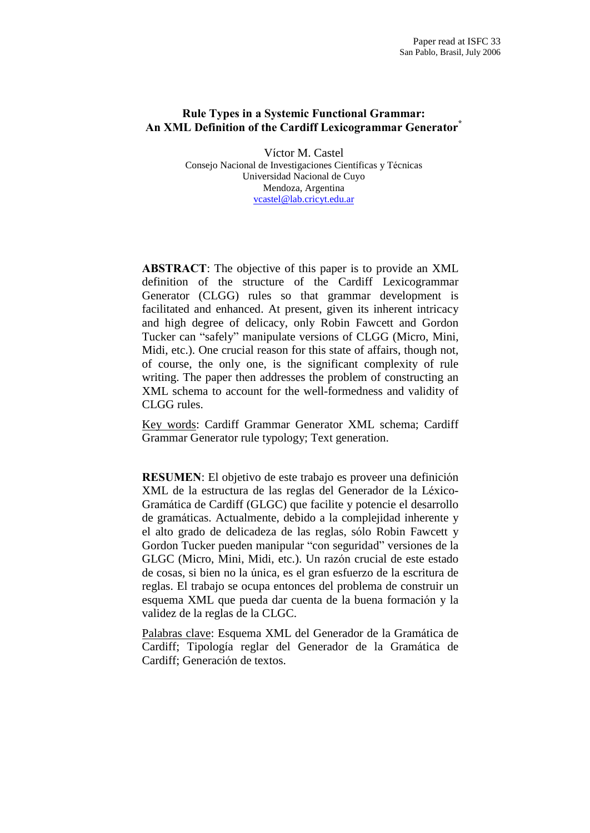# Rule Types in a Systemic Functional Grammar: An XML Definition of the Cardiff Lexicogrammar Generator<sup>\*</sup>

VÌctor M. Castel Consejo Nacional de Investigaciones Científicas y Técnicas Universidad Nacional de Cuyo Mendoza, Argentina [vcastel@lab.cricyt.edu.ar](mailto:vcastel@lab.cricyt.edu.ar" )

ABSTRACT: The objective of this paper is to provide an XML definition of the structure of the Cardiff Lexicogrammar Generator (CLGG) rules so that grammar development is facilitated and enhanced. At present, given its inherent intricacy and high degree of delicacy, only Robin Fawcett and Gordon Tucker can "safely" manipulate versions of CLGG (Micro, Mini, Midi, etc.). One crucial reason for this state of affairs, though not, of course, the only one, is the significant complexity of rule writing. The paper then addresses the problem of constructing an XML schema to account for the well-formedness and validity of CLGG rules.

Key words: Cardiff Grammar Generator XML schema; Cardiff Grammar Generator rule typology; Text generation.

**RESUMEN:** El objetivo de este trabajo es proveer una definición XML de la estructura de las reglas del Generador de la Léxico-Gramática de Cardiff (GLGC) que facilite y potencie el desarrollo de gramáticas. Actualmente, debido a la complejidad inherente y el alto grado de delicadeza de las reglas, sólo Robin Fawcett y Gordon Tucker pueden manipular "con seguridad" versiones de la GLGC (Micro, Mini, Midi, etc.). Un razón crucial de este estado de cosas, si bien no la ˙nica, es el gran esfuerzo de la escritura de reglas. El trabajo se ocupa entonces del problema de construir un esquema XML que pueda dar cuenta de la buena formación y la validez de la reglas de la CLGC.

Palabras clave: Esquema XML del Generador de la Gramática de Cardiff; Tipología reglar del Generador de la Gramática de Cardiff: Generación de textos.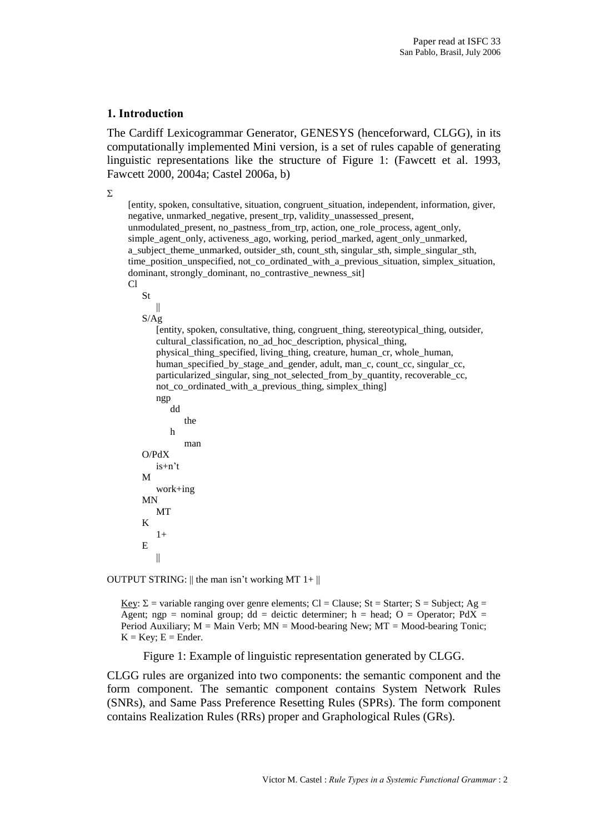#### 1. Introduction

The Cardiff Lexicogrammar Generator, GENESYS (henceforward, CLGG), in its computationally implemented Mini version, is a set of rules capable of generating linguistic representations like the structure of Figure 1: (Fawcett et al. 1993, Fawcett 2000, 2004a; Castel 2006a, b)

 $\Sigma$ 

[entity, spoken, consultative, situation, congruent\_situation, independent, information, giver, negative, unmarked\_negative, present\_trp, validity\_unassessed\_present, unmodulated\_present, no\_pastness\_from\_trp, action, one\_role\_process, agent\_only, simple\_agent\_only, activeness\_ago, working, period\_marked, agent\_only\_unmarked, a\_subject\_theme\_unmarked, outsider\_sth, count\_sth, singular\_sth, simple\_singular\_sth, time\_position\_unspecified, not\_co\_ordinated\_with\_a\_previous\_situation, simplex\_situation, dominant, strongly\_dominant, no\_contrastive\_newness\_sit]  $\overline{C}$ St || S/Ag [entity, spoken, consultative, thing, congruent\_thing, stereotypical\_thing, outsider, cultural\_classification, no\_ad\_hoc\_description, physical\_thing, physical\_thing\_specified, living\_thing, creature, human\_cr, whole\_human, human\_specified\_by\_stage\_and\_gender, adult, man\_c, count\_cc, singular\_cc, particularized\_singular, sing\_not\_selected\_from\_by\_quantity, recoverable\_cc, not\_co\_ordinated\_with\_a\_previous\_thing, simplex\_thing] ngp dd the h man O/PdX  $is+n't$ M work+ing MN MT K  $1+$ E ||

OUTPUT STRING:  $\parallel$  the man isn't working MT 1+ $\parallel$ 

Key:  $\Sigma$  = variable ranging over genre elements; Cl = Clause; St = Starter; S = Subject; Ag = Agent; ngp = nominal group; dd = deictic determiner; h = head; O = Operator; PdX = Period Auxiliary;  $M =$  Main Verb;  $MN =$  Mood-bearing New;  $MT =$  Mood-bearing Tonic;  $K = Key$ ;  $E = Ender$ .

Figure 1: Example of linguistic representation generated by CLGG.

CLGG rules are organized into two components: the semantic component and the form component. The semantic component contains System Network Rules (SNRs), and Same Pass Preference Resetting Rules (SPRs). The form component contains Realization Rules (RRs) proper and Graphological Rules (GRs).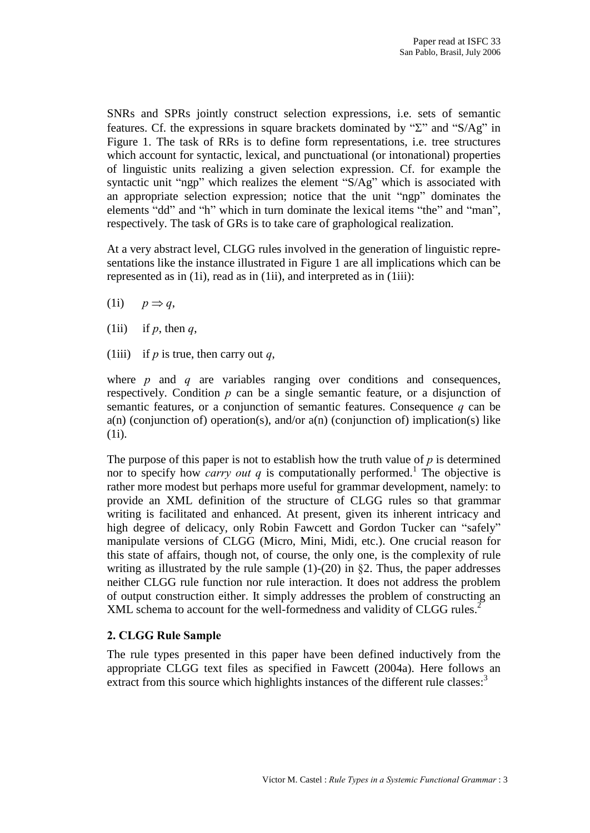SNRs and SPRs jointly construct selection expressions, i.e. sets of semantic features. Cf. the expressions in square brackets dominated by  $\mathcal{L}$  and  $\mathcal{L}S/\mathcal{A}g$  in Figure 1. The task of RRs is to define form representations, i.e. tree structures which account for syntactic, lexical, and punctuational (or intonational) properties of linguistic units realizing a given selection expression. Cf. for example the syntactic unit "ngp" which realizes the element "S/Ag" which is associated with an appropriate selection expression; notice that the unit "ngp" dominates the elements "dd" and "h" which in turn dominate the lexical items "the" and "man", respectively. The task of GRs is to take care of graphological realization.

At a very abstract level, CLGG rules involved in the generation of linguistic repre sentations like the instance illustrated in Figure 1 are allimplications which can be represented as in (1i), read as in (1ii), and interpreted as in (1iii):

(1i)  $p \Rightarrow q$ ,

- (1ii) if p, then q,
- (1iii) if p is true, then carry out q,

where  $p$  and  $q$  are variables ranging over conditions and consequences, respectively. Condition  $p$  can be a single semantic feature, or a disjunction of semantic features, or a conjunction of semantic features. Consequence  $q$  can be  $a(n)$  (conjunction of) operation(s), and/or  $a(n)$  (conjunction of) implication(s) like (1i).

The purpose of this paper is not to establish how the truth value of  $p$  is determined nor to specify how *carry out q* is computationally performed.<sup>1</sup> The objective is rather more modest but perhaps more useful for grammar development, namely: to provide an XML definition of the structure of CLGG rules so that grammar writing is facilitated and enhanced. At present, given its inherent intricacy and high degree of delicacy, only Robin Fawcett and Gordon Tucker can "safely" manipulate versions of CLGG (Micro, Mini, Midi, etc.). One crucial reason for this state of affairs, though not, of course, the only one, is the complexity of rule writing as illustrated by the rule sample  $(1)-(20)$  in §2. Thus, the paper addresses neither CLGG rule function nor rule interaction. It does not address the problem of output construction either. It simply addresses the problem of constructing an XML schema to account for the well-formedness and validity of CLGG rules.<sup>2</sup>

# 2. CLGG Rule Sample

The rule types presented in this paper have been defined inductively from the appropriate CLGG text files as specified in Fawcett (2004a). Here follows an extract from this source which highlights instances of the different rule classes:<sup>3</sup>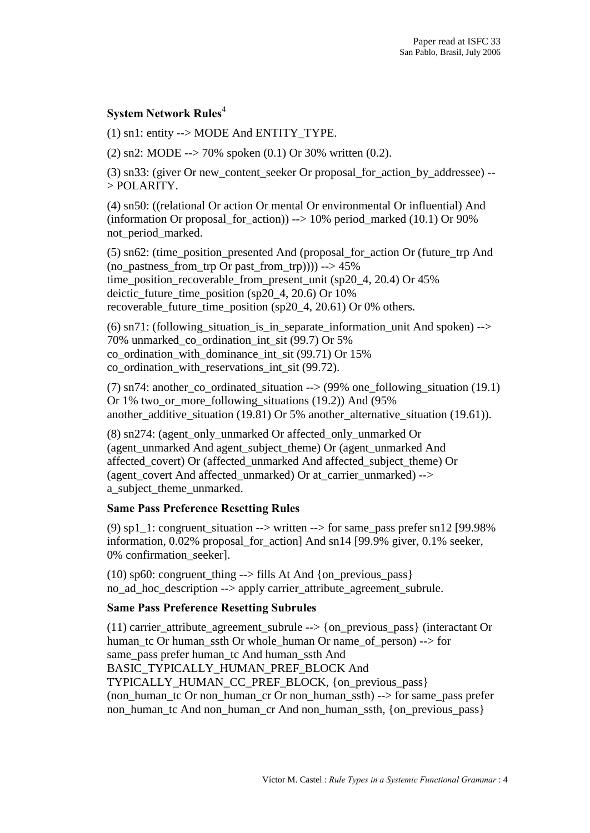# System Network Rules 4

(1) sn1: entity --> MODE And ENTITY\_TYPE.

(2) sn2: MODE --> 70% spoken  $(0.1)$  Or 30% written  $(0.2)$ .

(3) sn33: (giver Or new\_content\_seeker Or proposal\_for\_action\_by\_addressee) -- > POLARITY.

(4) sn50: ((relational Or action Or mental Or environmental Or influential) And (information Orproposal for action)) --> 10% period marked (10.1) Or 90% not period marked.

(5) sn62: (time\_position\_presented And (proposal\_for\_action Or (future\_trp And (no pastness from trp Or past from trp)))) -->  $45\%$ time\_position\_recoverable\_from\_present\_unit (sp20\_4, 20.4) Or  $45\%$ deictic\_future\_time\_position (sp20\_4, 20.6) Or 10% recoverable future time position (sp20\_4, 20.61) Or 0% others.

(6) sn71: (following situation is in separate information unit And spoken)  $\rightarrow$ 70% unmarked\_co\_ordination\_int\_sit (99.7) Or 5% co ordination with dominance int sit  $(99.71)$  Or  $15%$ co\_ordination\_with\_reservations\_int\_sit (99.72).

(7) sn74: another\_co\_ordinated\_situation --> (99% one\_following\_situation (19.1) Or 1% two or more following situations  $(19.2)$ ) And  $(95%$ another additive situation (19.81) Or 5% another alternative situation (19.61)).

(8) sn274: (agent\_only\_unmarked Or affected\_only\_unmarked Or (agent\_unmarked And agent\_subject\_theme) Or (agent\_unmarked And affected\_covert) Or (affected\_unmarked And affected\_subject\_theme) Or (agent\_covert And affected\_unmarked) Or at\_carrier\_unmarked) --> a subject theme unmarked.

#### Same Pass Preference Resetting Rules

(9)  $spl_1: congruent_situation \rightarrow written \rightarrow for same_pass prefer sn12 [99.98%]$ information,  $0.02\%$  proposal for action] And sn14 [99.9% giver, 0.1% seeker, 0% confirmation seeker].

(10) sp60: congruent\_thing  $\rightarrow$  fills At And {on\_previous\_pass} no\_ad\_hoc\_description --> apply carrier\_attribute\_agreement\_subrule.

#### Same Pass Preference Resetting Subrules

(11) carrier\_attribute\_agreement\_subrule --> {on\_previous\_pass} (interactant Or human tc Or human ssth Or whole human Or name of person) --> for same\_pass prefer human\_tc And human\_ssth And BASIC\_TYPICALLY\_HUMAN\_PREF\_BLOCK And TYPICALLY\_HUMAN\_CC\_PREF\_BLOCK, {on\_previous\_pass} (non\_human\_tc Or non\_human\_cr Or non\_human\_ssth) --> for same\_pass prefer non\_human\_tc And non\_human\_cr And non\_human\_ssth, {on\_previous\_pass}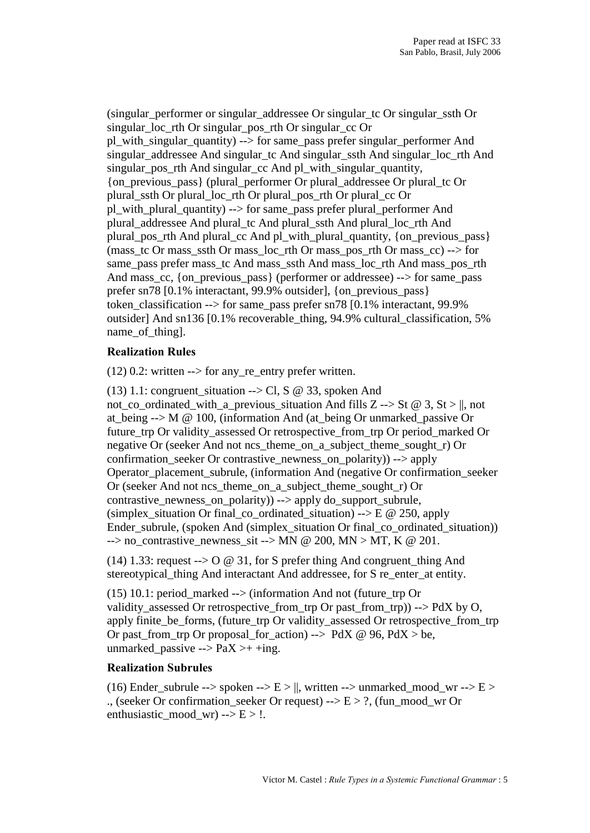(singular performer or singular addressee Or singular tc Or singular ssth Or singular\_loc\_rth Orsingular\_pos\_rth Or singular\_cc Or pl\_with\_singular\_quantity) --> for same\_pass prefer singular\_performer And singular addressee And singular tc And singular ssth And singular loc rth And singular pos rth And singular cc And pl\_with\_singular\_quantity, {on\_previous\_pass} (plural\_performer Or plural\_addressee Or plural\_tc Or plural\_ssth Or plural\_loc\_rth Or plural\_pos\_rth Or plural\_cc Or pl\_with\_plural\_quantity) --> for same\_pass prefer plural\_performer And plural\_addressee And plural\_tc And plural\_ssth And plural\_loc\_rth And plural\_pos\_rth And plural\_cc And pl\_with\_plural\_quantity, {on\_previous\_pass} (mass\_tc Or mass\_ssth Or mass\_loc\_rth Or mass\_pos\_rth Or mass\_cc) --> for same\_pass prefer mass\_tc And mass\_ssth And mass\_loc\_rth And mass\_pos\_rth And mass cc, {on previous pass} (performer or addressee)  $\rightarrow$  > for same pass prefer sn78 [0.1% interactant, 99.9% outsider], {on\_previous\_pass} token\_classification --> for same\_pass prefer sn78 [0.1% interactant, 99.9% outsider] And sn136 [0.1% recoverable\_thing, 94.9% cultural\_classification, 5% name\_of\_thing].

# Realization Rules

 $(12)$  0.2: written --> for any re\_entry prefer written.

(13) 1.1: congruent situation --> Cl, S  $\omega$  33, spoken And not co ordinated with a previous situation And fills Z --> St  $\omega$  3, St > ||, not at\_being --> M @ 100, (information And (at\_being Or unmarked\_passive Or future\_trp Or validity\_assessed Or retrospective\_from\_trp Or period\_marked Or negative Or (seeker And not ncs theme on a subject theme sought r) Or confirmation\_seeker Or contrastive\_newness\_on\_polarity)) --> apply Operator\_placement\_subrule, (information And (negative Or confirmation\_seeker Or (seeker And not ncs theme\_on\_a\_subject\_theme\_sought\_r) Or contrastive\_newness\_on\_polarity)) --> apply do\_support\_subrule, (simplex situation Or final co-ordinated situation) --> E  $\omega$  250, apply Ender\_subrule, (spoken And (simplex\_situation Or final\_co\_ordinated\_situation))  $\rightarrow$  no contrastive newness sit --> MN @ 200, MN > MT, K @ 201.

(14) 1.33: request  $\rightarrow$  O @ 31, for S prefer thing And congruent\_thing And stereotypical\_thing And interactant And addressee, for S re\_enter\_at entity.

(15) 10.1: period marked  $\rightarrow$  (information And not (future trp Or validity assessed Or retrospective from trp Or past from trp)) --> PdX by O, apply finite\_be\_forms, (future\_trp Or validity\_assessed Or retrospective\_from\_trp Or past\_from\_trp Or proposal\_for\_action) --> PdX  $\omega$  96, PdX > be, unmarked\_passive -->  $PaX > + +ing$ .

# Realization Subrules

(16) Ender\_subrule --> spoken -->  $E > ||$ , written --> unmarked\_mood\_wr -->  $E >$ ., (seeker Or confirmation\_seeker Or request) -->  $E > ?$ , (fun\_mood\_wr Or enthusiastic mood wr) -->  $E > !$ .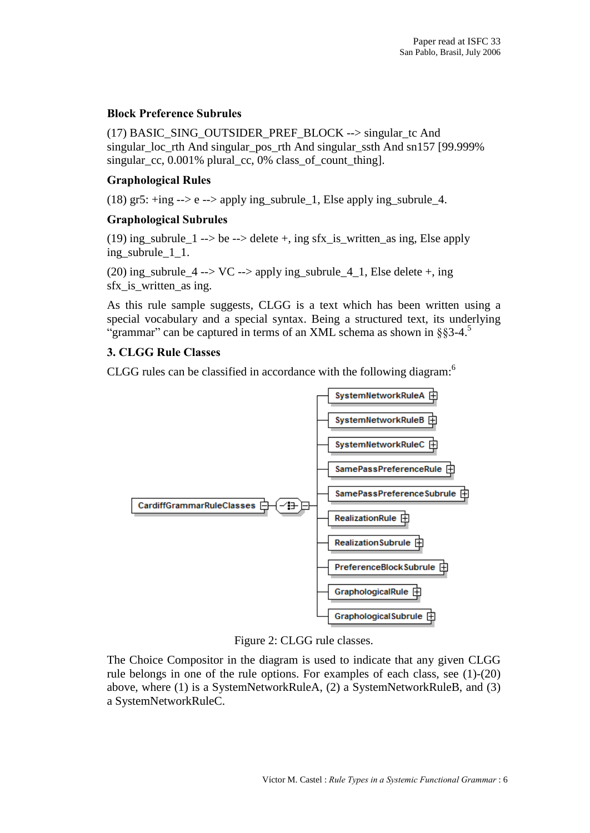#### Block Preference Subrules

(17) BASIC\_SING\_OUTSIDER\_PREF\_BLOCK --> singular\_tc And singular\_loc\_rth And singular\_pos\_rth And singular\_ssth And sn157 [99.999% singular cc,  $0.001\%$  plural cc, 0% class of count thing].

## Graphological Rules

(18) gr5:  $+$ ing  $-$ > e  $-$ > apply ing\_subrule\_1, Else apply ing\_subrule\_4.

#### Graphological Subrules

(19) ing\_subrule\_1 --> be --> delete +, ing sfx\_is\_written\_as ing, Else apply ing subrule 1 1.

(20) ing\_subrule\_4 --> VC --> apply ing\_subrule\_4\_1, Else delete +, ing sfx\_is\_written\_as ing.

As this rule sample suggests, CLGG is atext which has been written using a special vocabulary and a special syntax. Being a structured text, its underlying "grammar" can be captured in terms of an XML schema as shown in  $\S$ §3-4. $\overline{S}$ 

## 3. CLGG Rule Classes

CLGG rules can be classified in accordance with the following diagram:<sup>6</sup>



Figure 2: CLGG rule classes.

The Choice Compositor in the diagram is used to indicate that any given CLGG rule belongs in one of the rule options. For examples of each class, see (1)-(20) above, where (1) is a SystemNetworkRuleA, (2) a SystemNetworkRuleB, and (3) a SystemNetworkRuleC.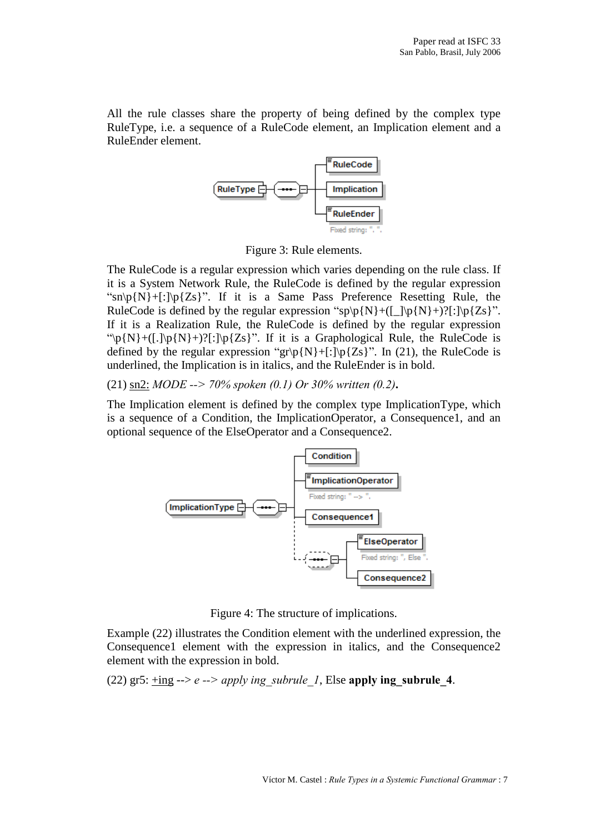All the rule classes share the property of being defined by the complex type RuleType, i.e. a sequence of a RuleCode element, an Implication element and a RuleEnder element.



Figure 3: Rule elements.

The RuleCode is a regular expression which varies depending on the rule class. If it is a System Network Rule, the RuleCode is defined by the regular expression " $\sin\left(\frac{N}{r}\right)$  +[:]\p{Zs}". If it is a Same Pass Preference Resetting Rule, the RuleCode is defined by the regular expression "sp\p{N}+([\_]\p{N}+)?[:]\p{Zs}". If it is a Realization Rule, the RuleCode is defined by the regular expression "\p{N}+([.]\p{N}+)?[:]\p{Zs}". If it is a Graphological Rule, the RuleCode is defined by the regular expression " $gr\pmb{\gamma}[\textbf{N}]+[\cdot]\pmb{\gamma}[\textbf{Zs}]$ ". In (21), the RuleCode is underlined, the Implication is in italics, and the RuleEnder is in bold.

(21) sn2: MODE --> 70% spoken (0.1) Or 30% written (0.2).

The Implication element is defined by the complex type ImplicationType, which is a sequence of a Condition, the ImplicationOperator, a Consequence1, and an optional sequence of the ElseOperator and a Consequence2.



Figure 4: The structure of implications.

Example (22) illustrates the Condition element with the underlined expression, the Consequence1 element with the expression in italics, and the Consequence2 element with the expression in bold.

(22) gr5: +ing --> e --> apply ing subrule 1, Else apply ing subrule 4.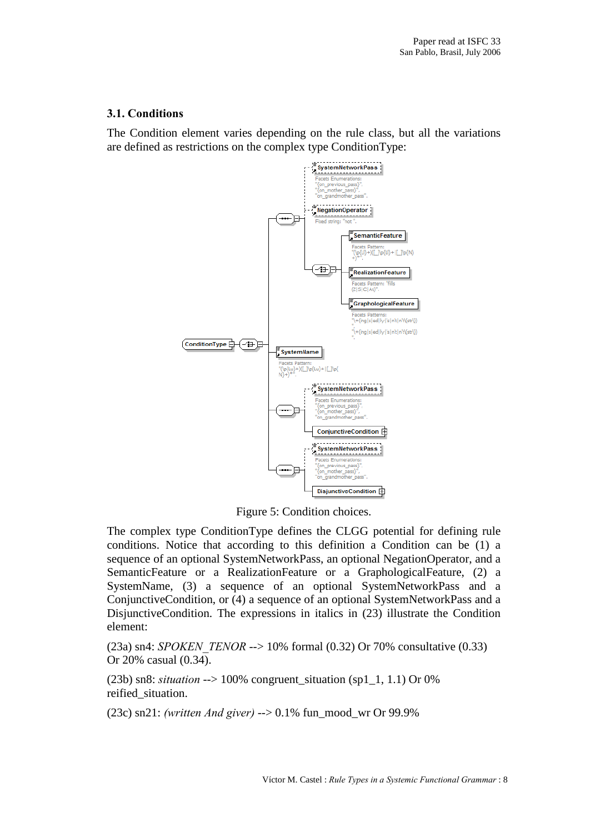# 3.1. Conditions

The Condition element varies depending on the rule class, but all the variations are defined as restrictions on the complex type ConditionType:



Figure 5: Condition choices.

The complex type ConditionType defines the CLGG potential for defining rule conditions. Notice that according to this definition a Condition can be (1) a sequence of an optional SystemNetworkPass, an optional NegationOperator, and a SemanticFeature or a RealizationFeature or a GraphologicalFeature, (2) a SystemName, (3) a sequence of an optional SystemNetworkPass and a ConjunctiveCondition, or (4) a sequence of an optional SystemNetworkPass and a DisjunctiveCondition. The expressions in italics in (23) illustrate the Condition element:

(23a) sn4: SPOKEN TENOR  $-$  > 10% formal (0.32) Or 70% consultative (0.33) Or 20% casual (0.34).

(23b) sn8: situation  $\rightarrow$  100% congruent\_situation (sp1\_1, 1.1) Or 0% reified\_situation.

(23c) sn21: (written And giver) --> 0.1% fun\_mood\_wr Or 99.9%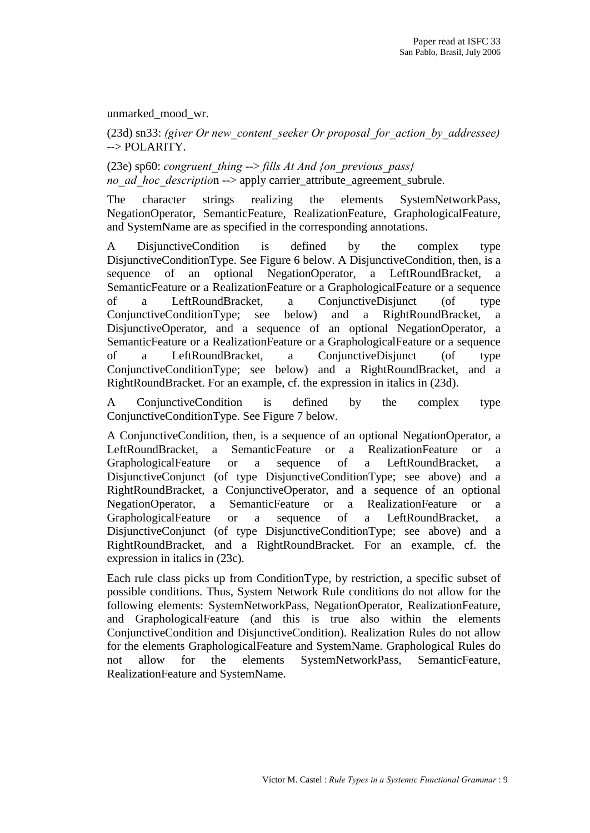unmarked\_mood\_wr.

(23d) sn33: (giver Or new content seeker Or proposal for action by addressee) --> POLARITY.

(23e) sp60: congruent thing --> fills At And {on previous pass} no ad hoc description --> apply carrier\_attribute\_agreement\_subrule.

The character strings realizing the elements SystemNetworkPass, NegationOperator, SemanticFeature, RealizationFeature, GraphologicalFeature, and SystemName are as specified in the corresponding annotations.

A DisjunctiveCondition is defined by the complex type DisjunctiveConditionType. See Figure 6 below. A DisjunctiveCondition, then, is a sequence of an optional NegationOperator, a LeftRoundBracket, a SemanticFeature or a RealizationFeature or a GraphologicalFeature or a sequence of a LeftRoundBracket, a ConjunctiveDisjunct (of type ConjunctiveConditionType; see below) and a RightRoundBracket, a DisjunctiveOperator, and a sequence of an optional NegationOperator, a SemanticFeature or a RealizationFeature or a GraphologicalFeature or a sequence of a LeftRoundBracket, a ConjunctiveDisjunct (of type ConjunctiveConditionType; see below) and a RightRoundBracket, and a RightRoundBracket. For an example, cf. the expression in italics in (23d).

A ConjunctiveCondition is defined by the complex type ConjunctiveConditionType. See Figure 7 below.

A ConjunctiveCondition, then, is a sequence of an optional NegationOperator, a LeftRoundBracket, a SemanticFeature or a RealizationFeature or a GraphologicalFeature or a sequence of a LeftRoundBracket, a DisjunctiveConjunct (of type DisjunctiveConditionType; see above) and a RightRoundBracket, a ConjunctiveOperator, and a sequence of an optional NegationOperator, a SemanticFeature or a RealizationFeature or a GraphologicalFeature or a sequence of a LeftRoundBracket, a DisjunctiveConjunct (of type DisjunctiveConditionType; see above) and a RightRoundBracket, and a RightRoundBracket. For an example, cf. the expression in italics in (23c).

Each rule class picks up from ConditionType, by restriction, a specific subset of possible conditions. Thus, System Network Rule conditions do notallow for the following elements: SystemNetworkPass, NegationOperator, RealizationFeature, and GraphologicalFeature (and this is true also within the elements ConjunctiveCondition and DisjunctiveCondition). Realization Rules do not allow for the elements GraphologicalFeature and SystemName. Graphological Rules do not allow for the elements SystemNetworkPass, SemanticFeature, RealizationFeature and SystemName.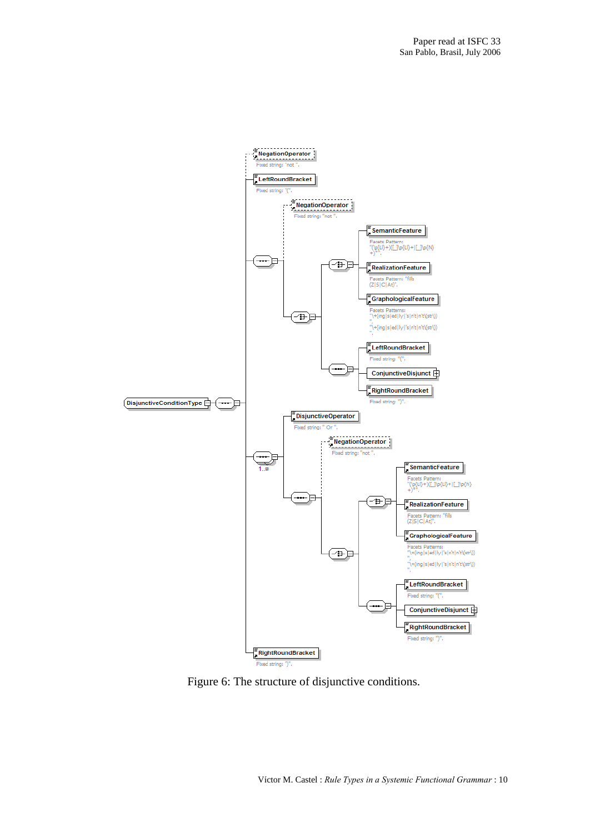

Figure 6: The structure of disjunctive conditions.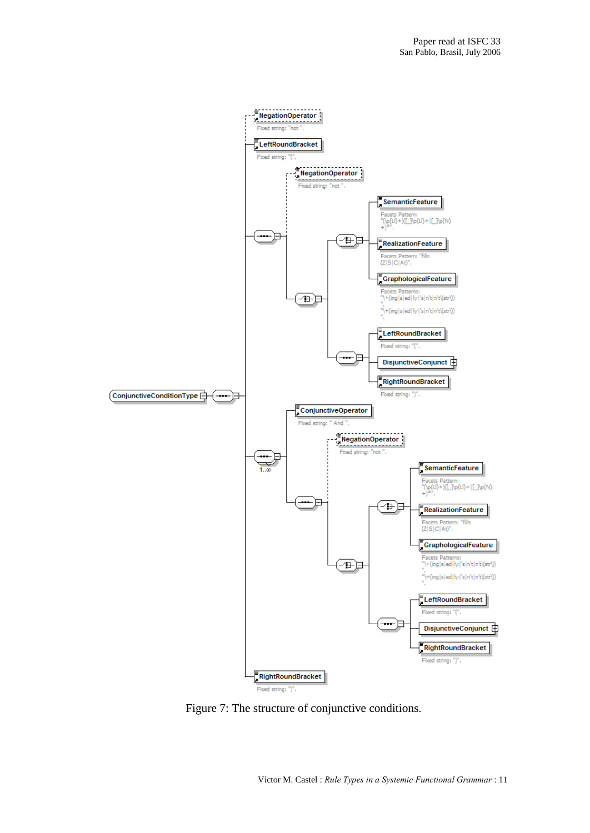

Figure 7: The structure of conjunctive conditions.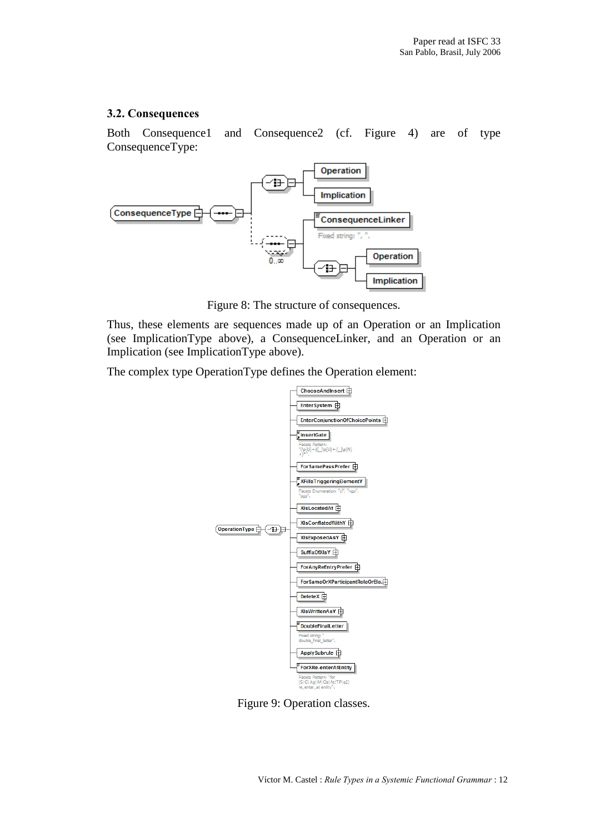## 3.2. Consequences

Both Consequence1 and Consequence2 (cf. Figure 4) are of type ConsequenceType:



Figure 8: The structure of consequences.

Thus, these elements are sequences made up of an Operation or an Implication (see ImplicationType above), a ConsequenceLinker, and an Operation or an Implication (see ImplicationType above).

The complex type OperationType defines the Operation element:



Figure 9: Operation classes.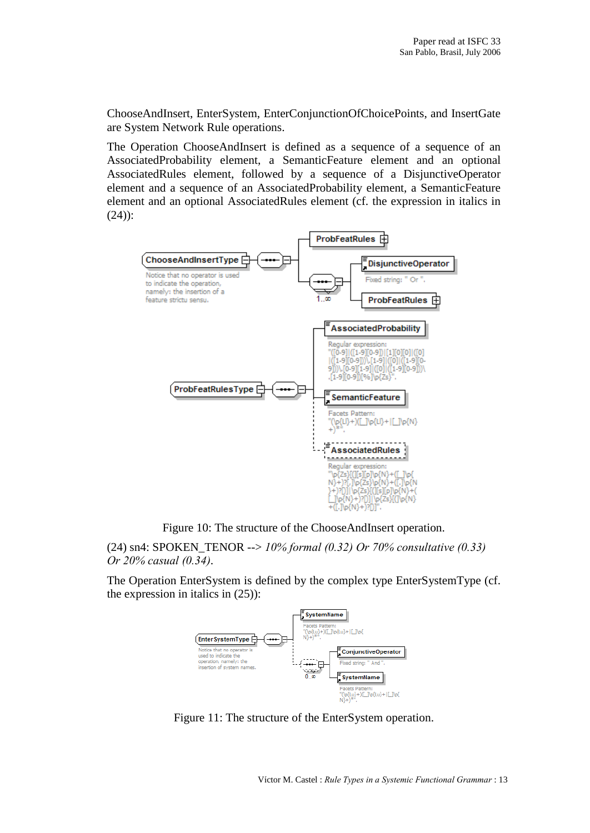ChooseAndInsert, EnterSystem, EnterConjunctionOfChoicePoints, and InsertGate are System Network Rule operations.

The Operation ChooseAndInsert is defined as a sequence of a sequence of an AssociatedProbability element, a SemanticFeature element and an optional AssociatedRules element, followed by a sequence of a DisjunctiveOperator element and a sequence of an AssociatedProbability element, a SemanticFeature element and an optional AssociatedRules element (cf. the expression in italics in (24)):



Figure 10: The structure of the ChooseAndInsert operation.

(24) sn4: SPOKEN\_TENOR --> 10% formal (0.32) Or 70% consultative (0.33) Or 20% casual (0.34).

The Operation EnterSystem is defined by the complex type EnterSystemType (cf. the expression in italics in (25)):



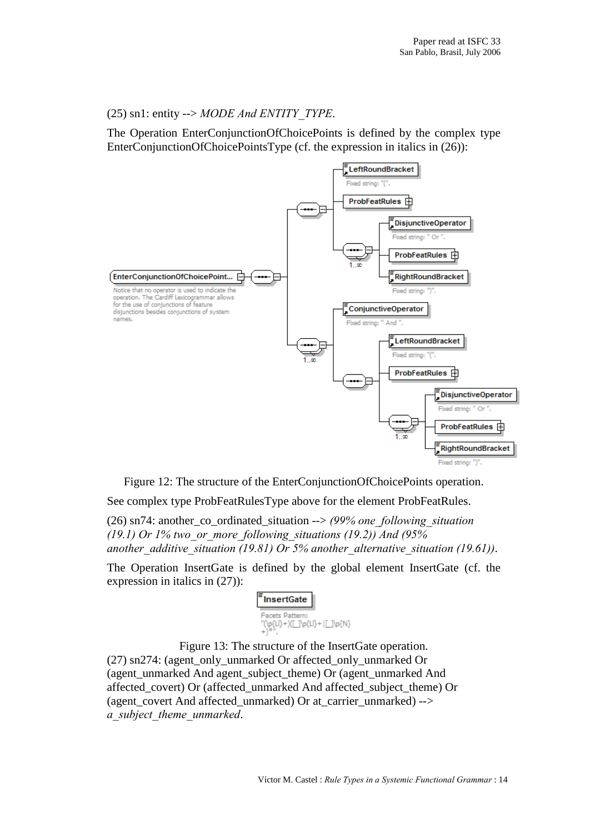# (25) sn1: entity  $\rightarrow MODE$  *And ENTITY TYPE*.

The Operation EnterConjunctionOfChoicePoints is defined by the complex type EnterConjunctionOfChoicePointsType (cf. the expression in italics in (26)):



Figure 12: The structure of the EnterConjunctionOfChoicePoints operation.

See complex type ProbFeatRulesType above for the element ProbFeatRules.

(26) sn74: another co-ordinated situation  $\rightarrow$  (99% one following situation (19.1) Or 1% two or more following situations (19.2)) And (95% another additive situation (19.81) Or 5% another alternative situation (19.61)).

The Operation InsertGate is defined by the global element InsertGate (cf. the expression in italics in (27)):



Figure 13: The structure of the InsertGate operation. (27) sn274: (agent\_only\_unmarked Or affected\_only\_unmarked Or (agent\_unmarked And agent\_subject\_theme) Or (agent\_unmarked And affected\_covert) Or (affected\_unmarked And affected\_subject\_theme) Or (agent\_covert And affected\_unmarked) Or at\_carrier\_unmarked) --> a subject theme unmarked.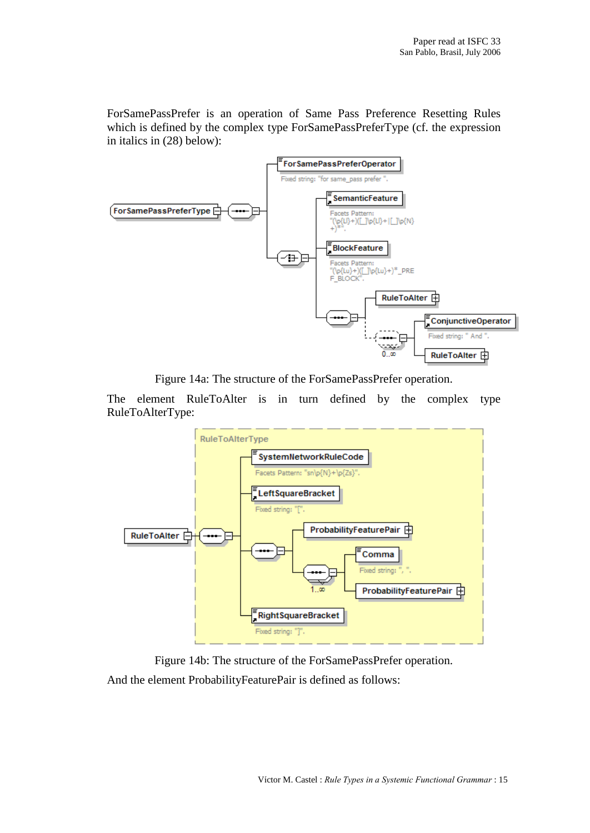ForSamePassPrefer is an operation of Same Pass Preference Resetting Rules which is defined by the complex type ForSamePassPreferType (cf. the expression in italics in (28) below):



Figure 14a: The structure of the ForSamePassPrefer operation.

The element RuleToAlter is in turn defined by the complex type RuleToAlterType:



Figure 14b: The structure of the ForSamePassPrefer operation. And the element ProbabilityFeaturePair is defined as follows: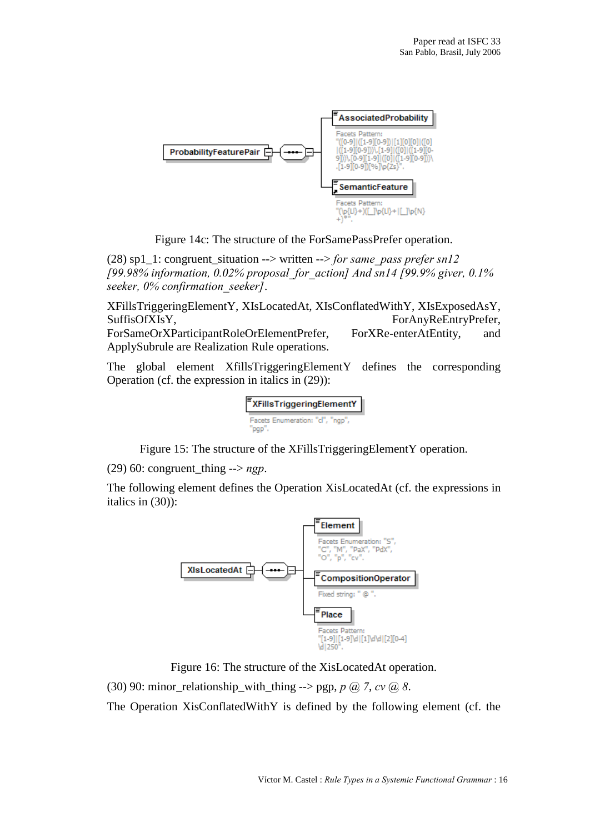

Figure 14c: The structure of the ForSamePassPrefer operation.

(28) sp1\_1: congruent\_situation --> written --> for same\_pass prefer sn12 [99.98% information, 0.02% proposal\_for\_action] And sn14 [99.9% giver, 0.1% seeker, 0% confirmation seeker].

XFillsTriggeringElementY, XIsLocatedAt, XIsConflatedWithY, XIsExposedAsY, SuffisOfXIsY, ForAnyReEntryPrefer, ForSameOrXParticipantRoleOrElementPrefer, ForXRe-enterAtEntity, and ApplySubrule are Realization Rule operations.

The global element XfillsTriggeringElementY defines the corresponding Operation (cf. the expression in italics in (29)):



Figure 15: The structure of the XFillsTriggeringElementY operation.

(29) 60: congruent\_thing  $\rightarrow$  ngp.

The following element defines the Operation XisLocatedAt (cf. the expressions in italics in (30)):



Figure 16: The structure of the XisLocatedAt operation.

(30) 90: minor\_relationship\_with\_thing --> pgp,  $p$  ( $\partial$ ),  $7$ ,  $cv$  ( $\partial$ ),  $8$ .

The Operation XisConflatedWithY is defined by the following element (cf. the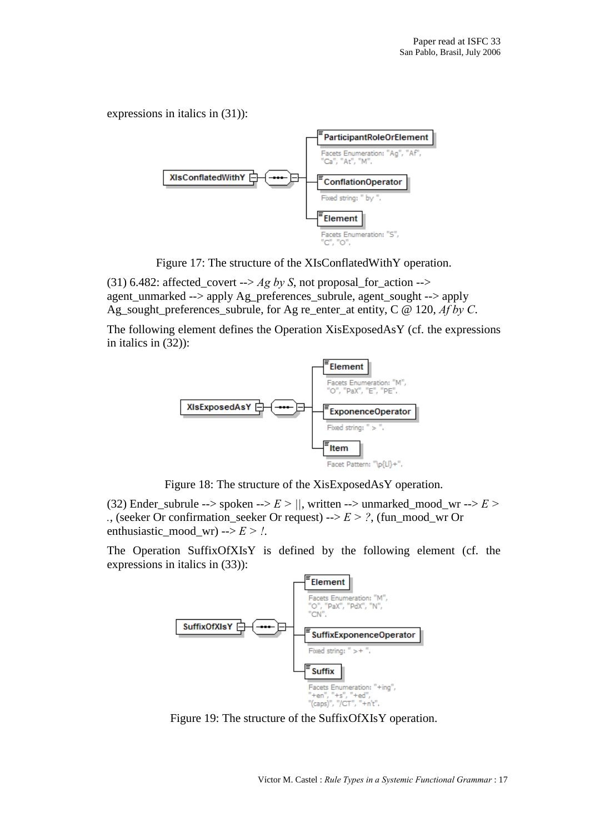expressions in italics in (31)):



Figure 17: The structure of the XIsConflatedWithY operation.

(31) 6.482: affected\_covert -->  $Ag$  by S, not proposal\_for\_action --> agent\_unmarked --> apply Ag\_preferences\_subrule, agent\_sought --> apply Ag\_sought\_preferences\_subrule, for Ag re\_enter\_at entity, C @ 120, Af by C.

The following element defines the Operation XisExposedAsY (cf. the expressions in italics in (32)):



Figure 18: The structure of the XisExposedAsY operation.

(32) Ender\_subrule --> spoken -->  $E > ||$ , written --> unmarked\_mood\_wr -->  $E >$ ., (seeker Or confirmation\_seeker Or request)  $\rightarrow$   $E$  > ?, (fun\_mood\_wr Or enthusiastic mood wr) -->  $E > 1$ .

The Operation SuffixOfXIsY is defined by the following element (cf. the expressions in italics in (33)):



Figure 19: The structure of the SuffixOfXIsY operation.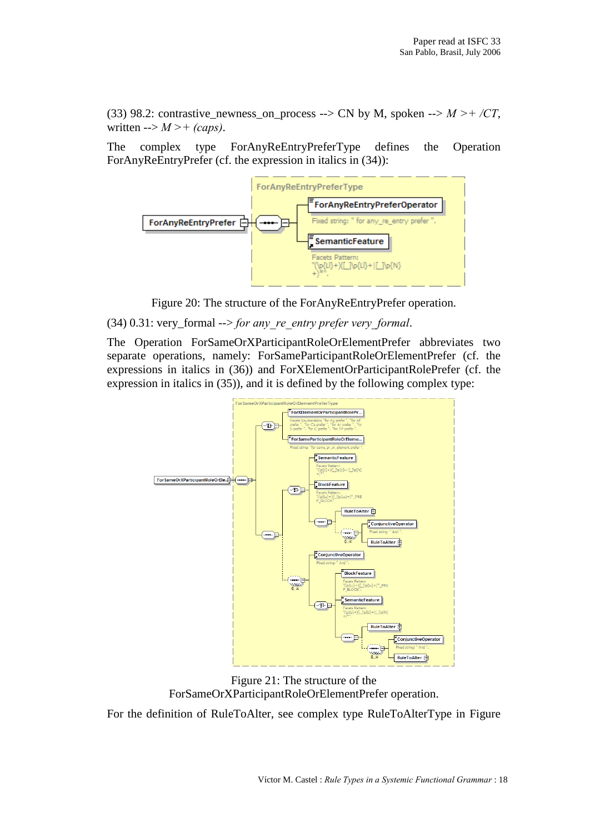(33) 98.2: contrastive newness on process --> CN by M, spoken -->  $M > + /CT$ , written  $\rightarrow$  M > + (caps).

The complex type ForAnyReEntryPreferType defines the Operation ForAnyReEntryPrefer (cf. the expression in italics in (34)):



Figure 20: The structure of the ForAnyReEntryPrefer operation.

# (34) 0.31: very\_formal  $\rightarrow$  for any re entry prefer very formal.

The Operation ForSameOrXParticipantRoleOrElementPrefer abbreviates two separate operations, namely: ForSameParticipantRoleOrElementPrefer (cf. the expressions in italics in (36)) and ForXElementOrParticipantRolePrefer (cf. the expression in italics in (35)), and it is defined by the following complex type:



Figure 21: The structure of the ForSameOrXParticipantRoleOrElementPrefer operation.

For the definition of RuleToAlter, see complex type RuleToAlterType in Figure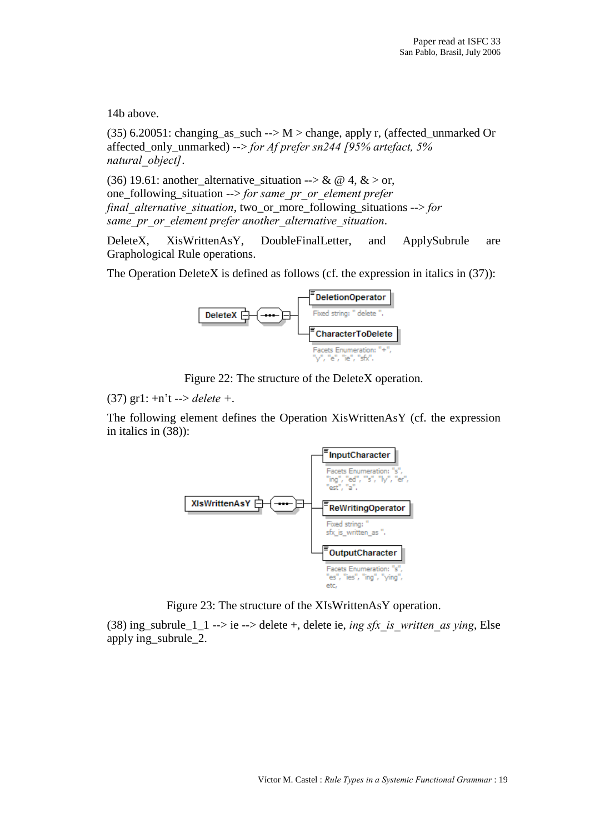14b above.

(35) 6.20051: changing\_as\_such -->  $M$  > change, apply r, (affected\_unmarked Or affected\_only\_unmarked) --> for Af prefer sn244 [95% artefact, 5% natural object].

(36) 19.61: another alternative situation --> & @ 4, & > or, one\_following\_situation --> for same\_pr\_or\_element prefer final alternative situation, two or more following situations  $\rightarrow$  for same pr or element prefer another alternative situation.

DeleteX, XisWrittenAsY, DoubleFinalLetter, and ApplySubrule are Graphological Rule operations.

The Operation DeleteX is defined as follows (cf. the expression in italics in (37)):



Figure 22: The structure of the DeleteX operation.

(37) gr1:  $+n't$  --> delete +.

The following element defines the Operation XisWrittenAsY (cf. the expression in italics in (38)):



Figure 23: The structure of the XIsWrittenAsY operation.

(38) ing\_subrule\_1\_1 --> ie --> delete +, delete ie, ing sfx is written as ying, Else apply ing\_subrule\_2.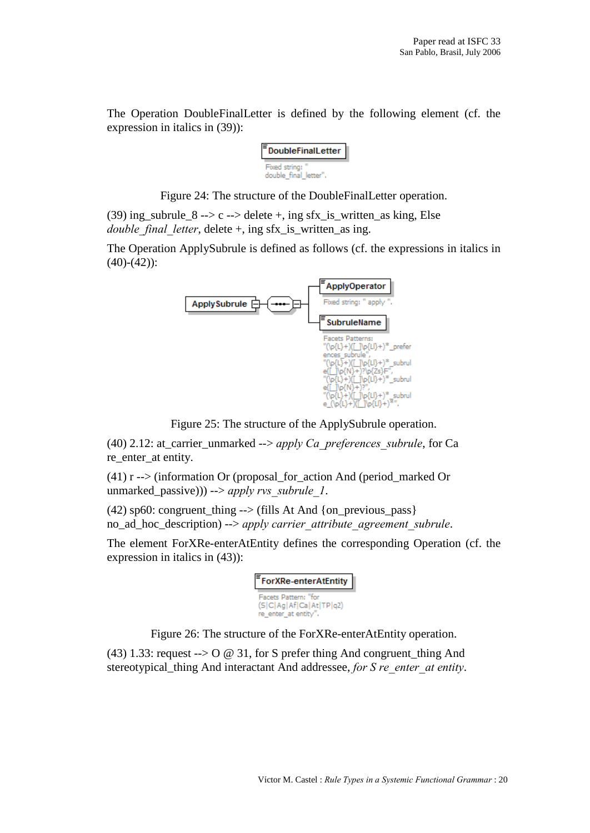The Operation DoubleFinalLetter is defined by the following element (cf. the expression in italics in (39)):

| <b>DoubleFinalLetter</b> |
|--------------------------|
|                          |

Figure 24: The structure of the DoubleFinalLetter operation.

(39) ing\_subrule\_8 --> c --> delete +, ing sfx\_is\_written\_as king, Else double final letter, delete  $+$ , ing sfx\_is\_written\_as ing.

The Operation ApplySubrule is defined as follows (cf. the expressions in italics in  $(40)-(42)$ :



Figure 25: The structure of the ApplySubrule operation.

(40) 2.12: at\_carrier\_unmarked  $\rightarrow$  apply Ca\_preferences\_subrule, for Ca re enter at entity.

(41)  $r \rightarrow$  (information Or (proposal for action And (period marked Or unmarked\_passive))) --> apply rvs\_subrule\_1.

(42) sp60: congruent\_thing  $\rightarrow$  (fills At And {on\_previous\_pass} no\_ad\_hoc\_description) --> apply carrier\_attribute\_agreement\_subrule.

The element ForXRe-enterAtEntity defines the corresponding Operation (cf. the expression in italics in (43)):

| ForXRe-enterAtEntity                                                    |
|-------------------------------------------------------------------------|
| Facets Pattern: "for<br>(S C Ag Af Ca At TP q2)<br>re_enter_at entity". |

Figure 26: The structure of the ForXRe-enterAtEntity operation.

(43) 1.33: request  $\rightarrow$  O @ 31, for S prefer thing And congruent\_thing And stereotypical\_thing And interactant And addressee, for S re\_enter\_at entity.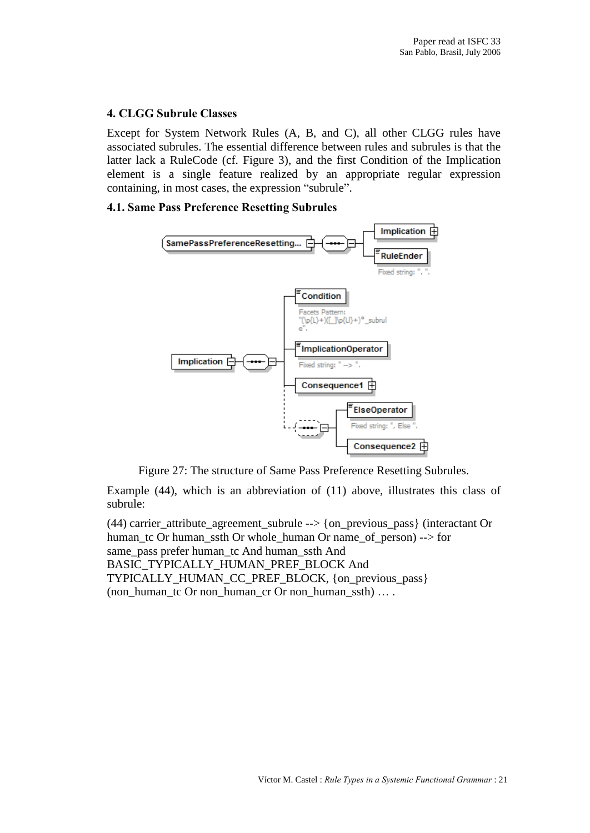## 4. CLGG Subrule Classes

Except for System Network Rules (A, B, and C), all other CLGG rules have associated subrules. The essential difference between rules and subrules is that the latter lack a RuleCode (cf. Figure 3), and the first Condition of the Implication element is a single feature realized by an appropriate regular expression containing, in most cases, the expression "subrule".

## 4.1. Same Pass Preference Resetting Subrules



Figure 27: The structure of Same Pass Preference Resetting Subrules.

Example (44), which is an abbreviation of (11) above, illustrates this class of subrule:

(44) carrier\_attribute\_agreement\_subrule --> {on\_previous\_pass} (interactant Or human\_tc Or human\_ssth Or whole\_human Or name\_of\_person) --> for same\_pass prefer human\_tc And human\_ssth And BASIC\_TYPICALLY\_HUMAN\_PREF\_BLOCK And TYPICALLY\_HUMAN\_CC\_PREF\_BLOCK, {on\_previous\_pass} (non\_human\_tc Or non\_human\_cr Or non\_human\_ssth) ... .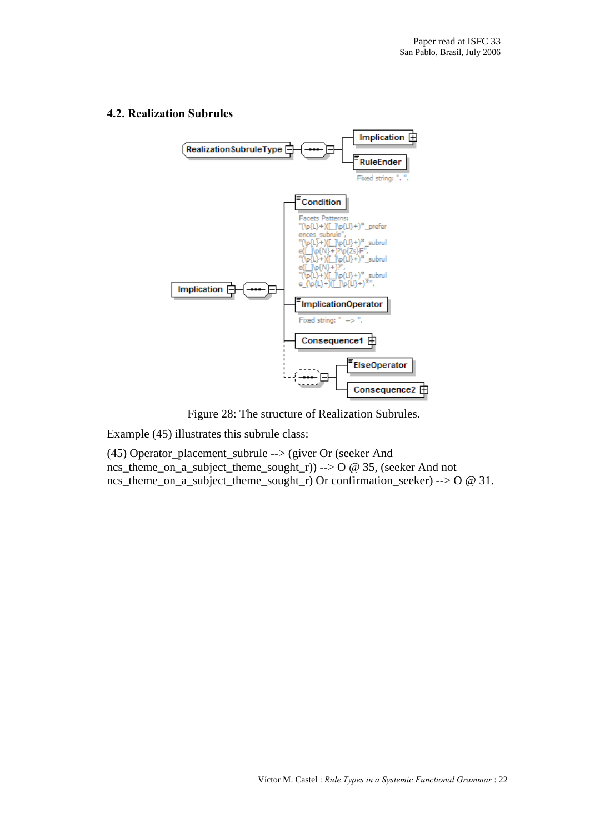

#### 4.2. Realization Subrules

Figure 28: The structure of Realization Subrules.

Example (45) illustrates this subrule class:

(45) Operator\_placement\_subrule --> (giver Or (seeker And ncs\_theme\_on\_a\_subject\_theme\_sought\_r)) --> O @ 35, (seeker And not ncs\_theme\_on\_a\_subject\_theme\_sought\_r) Or confirmation\_seeker) --> O @ 31.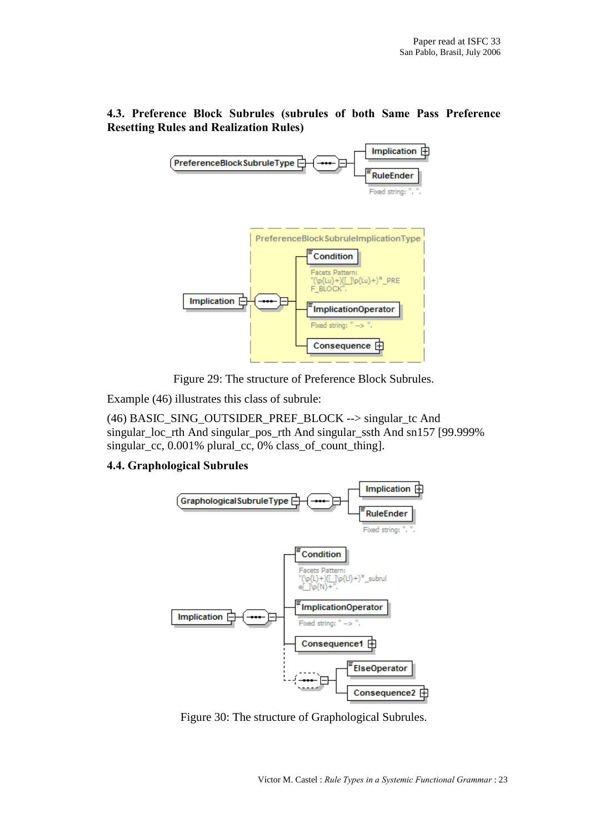# 4.3. Preference Block Subrules (subrules of both Same Pass Preference Resetting Rules and Realization Rules)



Figure 29: The structure of Preference Block Subrules.

Example (46) illustrates this class of subrule:

(46) BASIC\_SING\_OUTSIDER\_PREF\_BLOCK --> singular\_tc And singular\_loc\_rth And singular\_pos\_rth And singular\_ssth And sn157 [99.999% singular\_cc, 0.001% plural\_cc, 0% class\_of\_count\_thing].

# 4.4. Graphological Subrules



Figure 30: The structure of Graphological Subrules.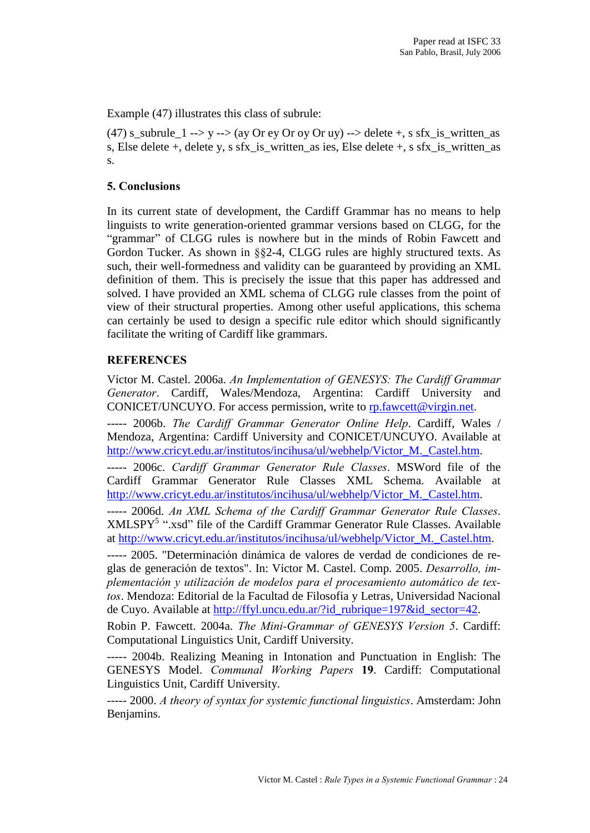Example (47) illustrates this class of subrule:

(47) s\_subrule  $1 \rightarrow y \rightarrow (ay \text{ Or } ey \text{ Or } oy \text{ Or } uy) \rightarrow \text{delete } +$ , s sfx\_is\_written\_as s, Else delete +, delete y, s sfx is written as ies, Else delete +, s sfx is written as s.

## 5. Conclusions

In its current state of development, the Cardiff Grammar has no means to help linguists to write generation-oriented grammar versions based on CLGG, for the "grammar" of CLGG rules is nowhere but in the minds of Robin Fawcett and Gordon Tucker. As shown in §§2-4, CLGG rules are highly structured texts. As such, their well-formedness and validity can be guaranteed by providing an XML definition of them. This is precisely the issue that this paper has addressed and solved. I have provided an XML schema of CLGG rule classes from the point of view of their structural properties. Among other useful applications, this schema can certainly be used to design a specific rule editor which should significantly facilitate the writing of Cardiff like grammars.

## **REFERENCES**

VÌctor M. Castel. 2006a. An Implementation of GENESYS: The Cardif Grammar Generator. Cardiff, Wales/Mendoza, Argentina: Cardiff University and CONICET/UNCUYO. For access permission, write to [rp.fawcett@virgin.net](mailto:rp.fawcett@virgin.net" ).

----- 2006b. The Cardiff Grammar Generator Online Help. Cardiff, Wales / Mendoza, Argentina: Cardiff University and CONICET/UNCUYO. Available at http://www.cricyt.edu.ar/institutos/incihusa/ul/webhelp/Victor\_M.\_Castel.htm.

----- 2006c. Cardiff Grammar Generator Rule Classes. MSWord file of the Cardiff Grammar Generator Rule Classes XML Schema. Available at http://www.cricyt.edu.ar/institutos/incihusa/ul/webhelp/Victor\_M.\_Castel.htm.

----- 2006d. An XML Schema of the Cardiff Grammar Generator Rule Classes.  $XMLSPY<sup>5</sup>$  ".xsd" file of the Cardiff Grammar Generator Rule Classes. Available at http://www.cricyt.edu.ar/institutos/incihusa/ul/webhelp/Victor\_M.\_Castel.htm.

----- 2005. "Determinación dinámica de valores de verdad de condiciones de reglas de generación de textos". In: Víctor M. Castel. Comp. 2005. Desarrollo, implementación y utilización de modelos para el procesamiento automático de textos. Mendoza: Editorial de la Facultad de Filosofía y Letras, Universidad Nacional de Cuyo. Available at [http://ffyl.uncu.edu.ar/?id\\_rubrique=197&id\\_sector=42.](http://ffyl.uncu.edu.ar/?id_rubrique=197&id_sector=42)

Robin P. Fawcett. 2004a. The Mini-Grammar of GENESYS Version 5. Cardiff: Computational Linguistics Unit, Cardiff University.

----- 2004b. Realizing Meaning in Intonation and Punctuation in English: The GENESYS Model. Communal Working Papers 19. Cardiff: Computational Linguistics Unit, Cardiff University.

----- 2000. A theory of syntax for systemic functional linguistics. Amsterdam: John Benjamins.